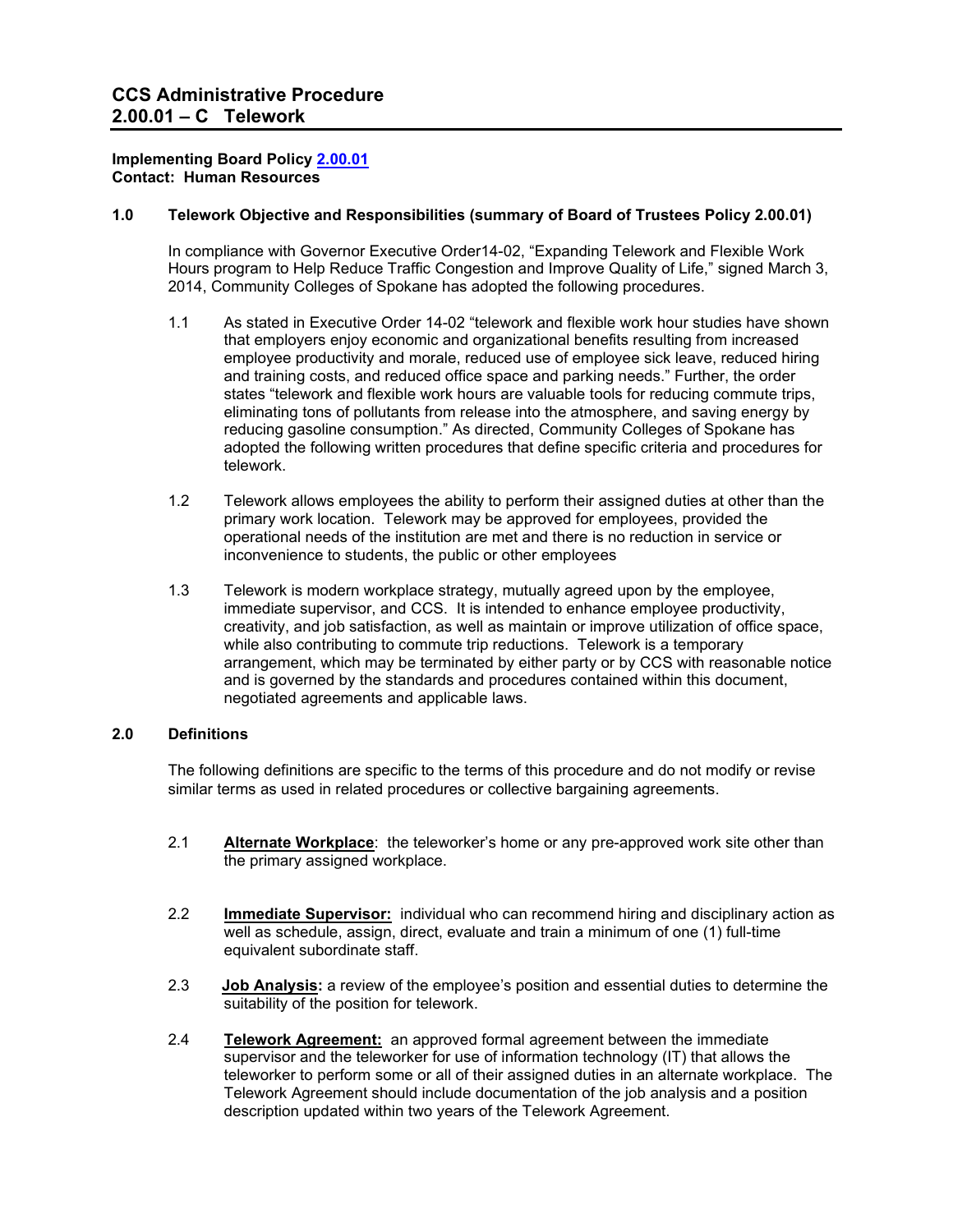#### **Implementing Board Policy [2.00.01](http://ccs.spokane.edu/About-Us/Leadership/Board-of-Trustees/Policies-Procedures/Chapter2#AccWE2-1) Contact: Human Resources**

### **1.0 Telework Objective and Responsibilities (summary of Board of Trustees Policy 2.00.01)**

In compliance with Governor Executive Order14-02, "Expanding Telework and Flexible Work Hours program to Help Reduce Traffic Congestion and Improve Quality of Life," signed March 3, 2014, Community Colleges of Spokane has adopted the following procedures.

- 1.1 As stated in Executive Order 14-02 "telework and flexible work hour studies have shown that employers enjoy economic and organizational benefits resulting from increased employee productivity and morale, reduced use of employee sick leave, reduced hiring and training costs, and reduced office space and parking needs." Further, the order states "telework and flexible work hours are valuable tools for reducing commute trips, eliminating tons of pollutants from release into the atmosphere, and saving energy by reducing gasoline consumption." As directed, Community Colleges of Spokane has adopted the following written procedures that define specific criteria and procedures for telework.
- 1.2 Telework allows employees the ability to perform their assigned duties at other than the primary work location. Telework may be approved for employees, provided the operational needs of the institution are met and there is no reduction in service or inconvenience to students, the public or other employees
- 1.3 Telework is modern workplace strategy, mutually agreed upon by the employee, immediate supervisor, and CCS. It is intended to enhance employee productivity, creativity, and job satisfaction, as well as maintain or improve utilization of office space, while also contributing to commute trip reductions. Telework is a temporary arrangement, which may be terminated by either party or by CCS with reasonable notice and is governed by the standards and procedures contained within this document, negotiated agreements and applicable laws.

### **2.0 Definitions**

The following definitions are specific to the terms of this procedure and do not modify or revise similar terms as used in related procedures or collective bargaining agreements.

- 2.1 **Alternate Workplace**: the teleworker's home or any pre-approved work site other than the primary assigned workplace.
- 2.2 **Immediate Supervisor:** individual who can recommend hiring and disciplinary action as well as schedule, assign, direct, evaluate and train a minimum of one (1) full-time equivalent subordinate staff.
- 2.3 **Job Analysis:** a review of the employee's position and essential duties to determine the suitability of the position for telework.
- 2.4 **Telework Agreement:** an approved formal agreement between the immediate supervisor and the teleworker for use of information technology (IT) that allows the teleworker to perform some or all of their assigned duties in an alternate workplace. The Telework Agreement should include documentation of the job analysis and a position description updated within two years of the Telework Agreement.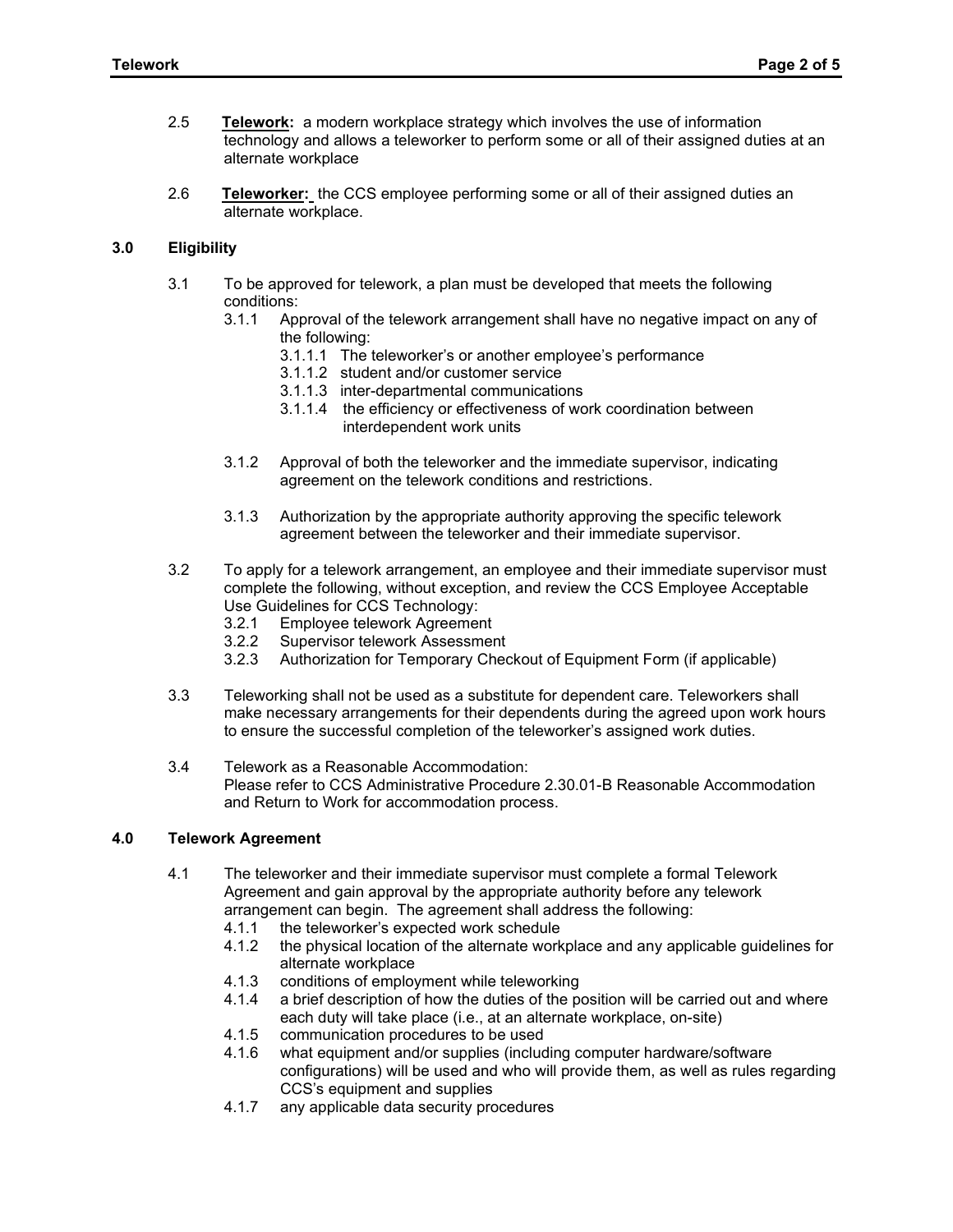- 2.5 **Telework:** a modern workplace strategy which involves the use of information technology and allows a teleworker to perform some or all of their assigned duties at an alternate workplace
- 2.6 **Teleworker:** the CCS employee performing some or all of their assigned duties an alternate workplace.

# **3.0 Eligibility**

- 3.1 To be approved for telework, a plan must be developed that meets the following conditions:<br>3.1.1 Apr
	- Approval of the telework arrangement shall have no negative impact on any of the following:
		- 3.1.1.1 The teleworker's or another employee's performance
		- 3.1.1.2 student and/or customer service
		- 3.1.1.3 inter-departmental communications
		- 3.1.1.4 the efficiency or effectiveness of work coordination between interdependent work units
	- 3.1.2 Approval of both the teleworker and the immediate supervisor, indicating agreement on the telework conditions and restrictions.
	- 3.1.3 Authorization by the appropriate authority approving the specific telework agreement between the teleworker and their immediate supervisor.
- 3.2 To apply for a telework arrangement, an employee and their immediate supervisor must complete the following, without exception, and review the CCS Employee Acceptable Use Guidelines for CCS Technology:
	- 3.2.1 Employee telework Agreement
	- 3.2.2 Supervisor telework Assessment
	- 3.2.3 Authorization for Temporary Checkout of Equipment Form (if applicable)
- 3.3 Teleworking shall not be used as a substitute for dependent care. Teleworkers shall make necessary arrangements for their dependents during the agreed upon work hours to ensure the successful completion of the teleworker's assigned work duties.
- 3.4 Telework as a Reasonable Accommodation: Please refer to CCS Administrative Procedure 2.30.01-B Reasonable Accommodation and Return to Work for accommodation process.

#### **4.0 Telework Agreement**

- 4.1 The teleworker and their immediate supervisor must complete a formal Telework Agreement and gain approval by the appropriate authority before any telework arrangement can begin. The agreement shall address the following:
	- 4.1.1 the teleworker's expected work schedule<br>4.1.2 the physical location of the alternate work
	- the physical location of the alternate workplace and any applicable guidelines for alternate workplace
	- 4.1.3 conditions of employment while teleworking<br>4.1.4 a brief description of how the duties of the po
	- a brief description of how the duties of the position will be carried out and where each duty will take place (i.e., at an alternate workplace, on-site)
	- 4.1.5 communication procedures to be used<br>4.1.6 what equipment and/or supplies (include
	- what equipment and/or supplies (including computer hardware/software configurations) will be used and who will provide them, as well as rules regarding CCS's equipment and supplies
	- 4.1.7 any applicable data security procedures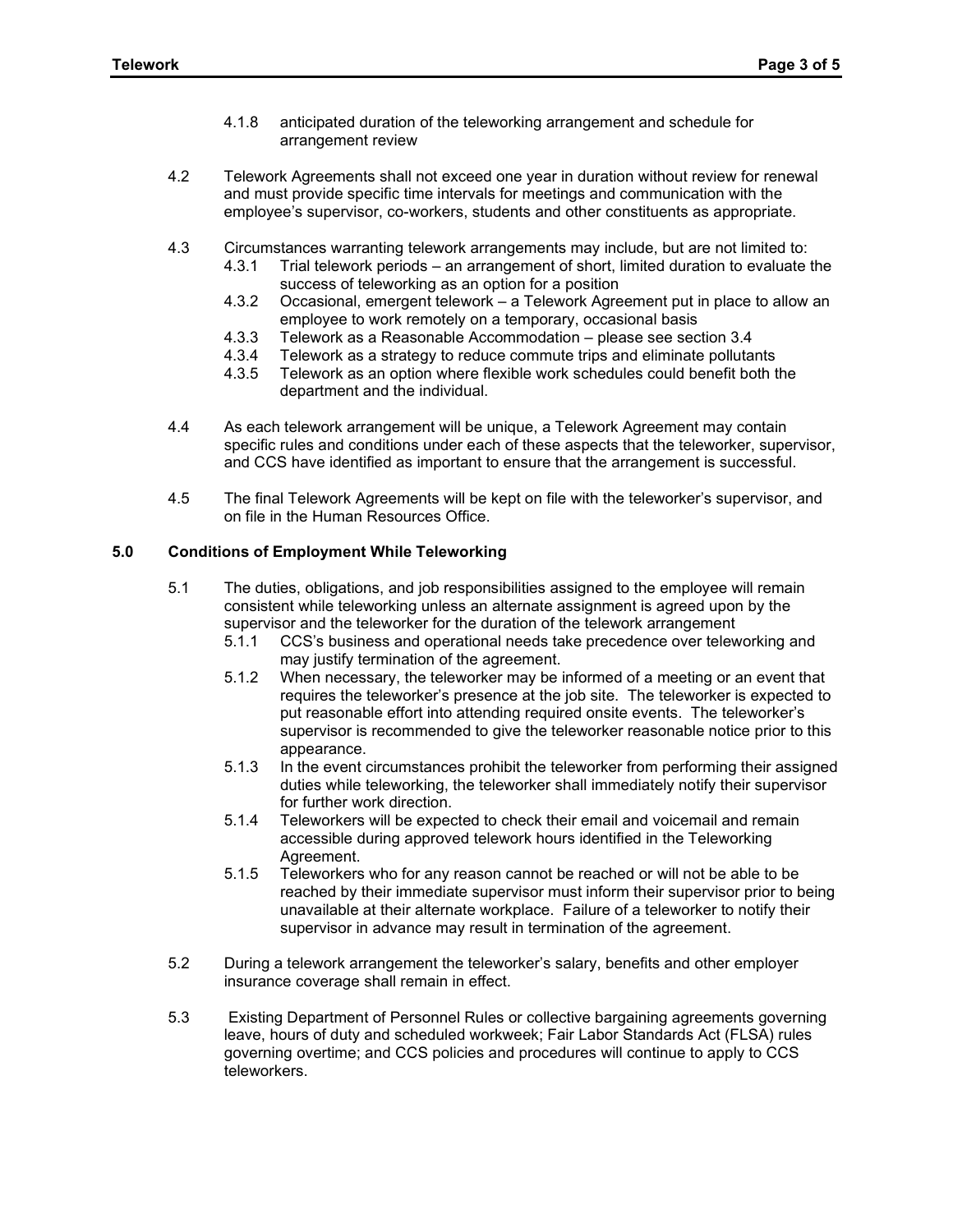- 4.1.8 anticipated duration of the teleworking arrangement and schedule for arrangement review
- 4.2 Telework Agreements shall not exceed one year in duration without review for renewal and must provide specific time intervals for meetings and communication with the employee's supervisor, co-workers, students and other constituents as appropriate.
- 4.3 Circumstances warranting telework arrangements may include, but are not limited to:
	- 4.3.1 Trial telework periods an arrangement of short, limited duration to evaluate the success of teleworking as an option for a position
	- 4.3.2 Occasional, emergent telework a Telework Agreement put in place to allow an employee to work remotely on a temporary, occasional basis
	- 4.3.3 Telework as a Reasonable Accommodation please see section 3.4
	- 4.3.4 Telework as a strategy to reduce commute trips and eliminate pollutants
	- 4.3.5 Telework as an option where flexible work schedules could benefit both the department and the individual.
- 4.4 As each telework arrangement will be unique, a Telework Agreement may contain specific rules and conditions under each of these aspects that the teleworker, supervisor, and CCS have identified as important to ensure that the arrangement is successful.
- 4.5 The final Telework Agreements will be kept on file with the teleworker's supervisor, and on file in the Human Resources Office.

# **5.0 Conditions of Employment While Teleworking**

- 5.1 The duties, obligations, and job responsibilities assigned to the employee will remain consistent while teleworking unless an alternate assignment is agreed upon by the supervisor and the teleworker for the duration of the telework arrangement
	- 5.1.1 CCS's business and operational needs take precedence over teleworking and may justify termination of the agreement.
	- 5.1.2 When necessary, the teleworker may be informed of a meeting or an event that requires the teleworker's presence at the job site. The teleworker is expected to put reasonable effort into attending required onsite events. The teleworker's supervisor is recommended to give the teleworker reasonable notice prior to this appearance.
	- 5.1.3 In the event circumstances prohibit the teleworker from performing their assigned duties while teleworking, the teleworker shall immediately notify their supervisor for further work direction.
	- 5.1.4 Teleworkers will be expected to check their email and voicemail and remain accessible during approved telework hours identified in the Teleworking Agreement.
	- 5.1.5 Teleworkers who for any reason cannot be reached or will not be able to be reached by their immediate supervisor must inform their supervisor prior to being unavailable at their alternate workplace. Failure of a teleworker to notify their supervisor in advance may result in termination of the agreement.
- 5.2 During a telework arrangement the teleworker's salary, benefits and other employer insurance coverage shall remain in effect.
- 5.3 Existing Department of Personnel Rules or collective bargaining agreements governing leave, hours of duty and scheduled workweek; Fair Labor Standards Act (FLSA) rules governing overtime; and CCS policies and procedures will continue to apply to CCS teleworkers.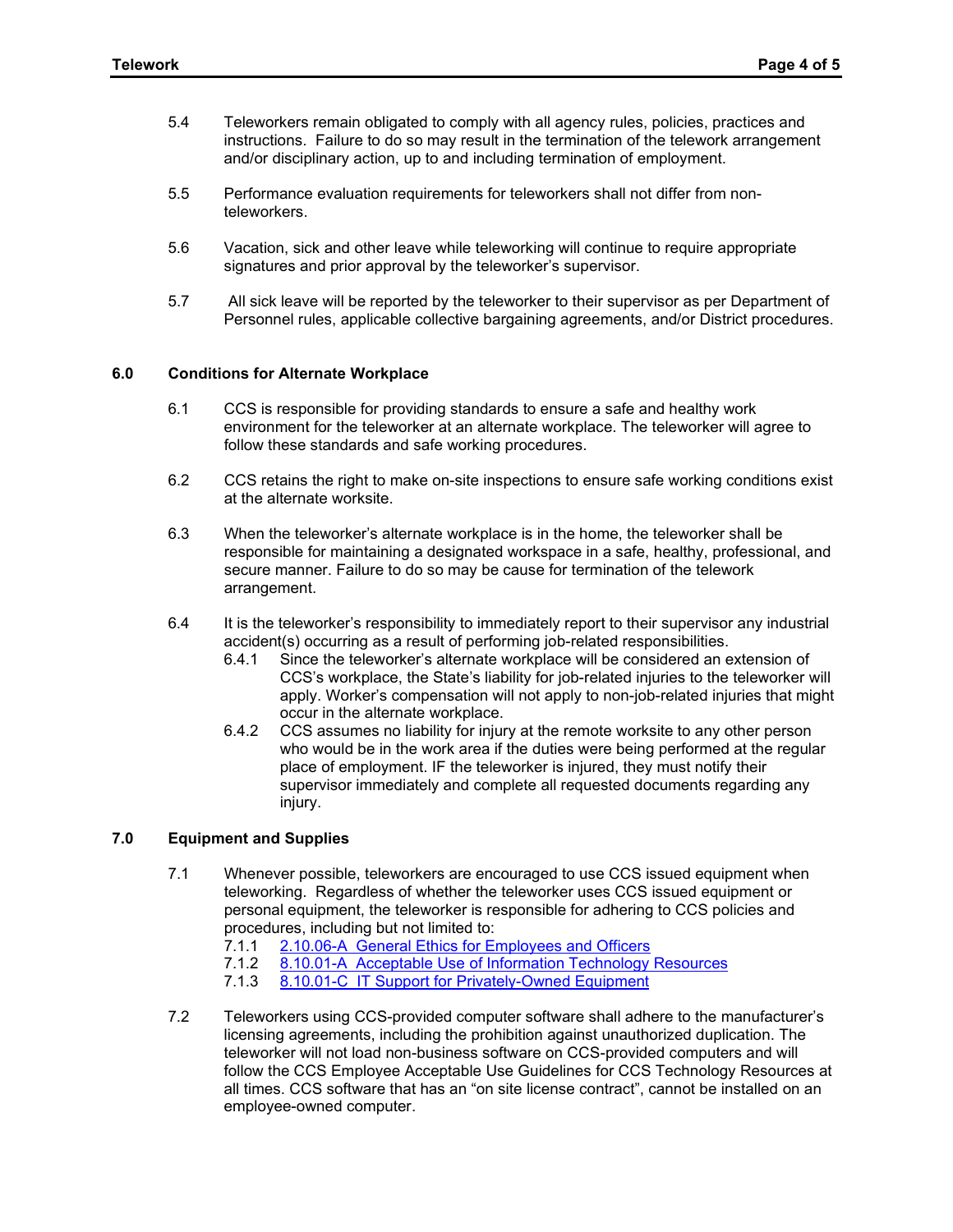- 5.4 Teleworkers remain obligated to comply with all agency rules, policies, practices and instructions. Failure to do so may result in the termination of the telework arrangement and/or disciplinary action, up to and including termination of employment.
- 5.5 Performance evaluation requirements for teleworkers shall not differ from nonteleworkers.
- 5.6 Vacation, sick and other leave while teleworking will continue to require appropriate signatures and prior approval by the teleworker's supervisor.
- 5.7 All sick leave will be reported by the teleworker to their supervisor as per Department of Personnel rules, applicable collective bargaining agreements, and/or District procedures.

#### **6.0 Conditions for Alternate Workplace**

- 6.1 CCS is responsible for providing standards to ensure a safe and healthy work environment for the teleworker at an alternate workplace. The teleworker will agree to follow these standards and safe working procedures.
- 6.2 CCS retains the right to make on-site inspections to ensure safe working conditions exist at the alternate worksite.
- 6.3 When the teleworker's alternate workplace is in the home, the teleworker shall be responsible for maintaining a designated workspace in a safe, healthy, professional, and secure manner. Failure to do so may be cause for termination of the telework arrangement.
- 6.4 It is the teleworker's responsibility to immediately report to their supervisor any industrial accident(s) occurring as a result of performing job-related responsibilities.
	- 6.4.1 Since the teleworker's alternate workplace will be considered an extension of CCS's workplace, the State's liability for job-related injuries to the teleworker will apply. Worker's compensation will not apply to non-job-related injuries that might occur in the alternate workplace.
	- 6.4.2 CCS assumes no liability for injury at the remote worksite to any other person who would be in the work area if the duties were being performed at the regular place of employment. IF the teleworker is injured, they must notify their supervisor immediately and complete all requested documents regarding any injury.

## **7.0 Equipment and Supplies**

- 7.1 Whenever possible, teleworkers are encouraged to use CCS issued equipment when teleworking. Regardless of whether the teleworker uses CCS issued equipment or personal equipment, the teleworker is responsible for adhering to CCS policies and procedures, including but not limited to:<br>7.1.1 2.10.06-A General Ethics for Ei
	- 7.1.1 [2.10.06-A General Ethics for Employees and Officers](https://shared.spokane.edu/ccsglobal/media/Global/PDFs/District/Policies/CH2/2.10.06_GeneralEthicsForEmployeesOfficers/2-10-06A_GeneralEthicsForEmployeesOfficers.pdf)<br>7.1.2 8.10.01-A Acceptable Use of Information Technology
	- [8.10.01-A Acceptable Use of Information Technology Resources](https://ccs.spokane.edu/getattachment/About-Us/Leadership/Board-of-Trustees/Policies-Procedures/Chapter8/8-10-01A_AcceptableUse-was-7-30-05A.pdf?lang=en-US)
	- 7.1.3 [8.10.01-C IT Support for Privately-Owned Equipment](https://ccs.spokane.edu/getattachment/About-Us/Leadership/Board-of-Trustees/Policies-Procedures/Chapter8/8-10-01C_IT-Support-for-Privately-Owned-Equipment-was-7-30-05C.pdf?lang=en-US)
- 7.2 Teleworkers using CCS-provided computer software shall adhere to the manufacturer's licensing agreements, including the prohibition against unauthorized duplication. The teleworker will not load non-business software on CCS-provided computers and will follow the CCS Employee Acceptable Use Guidelines for CCS Technology Resources at all times. CCS software that has an "on site license contract", cannot be installed on an employee-owned computer.